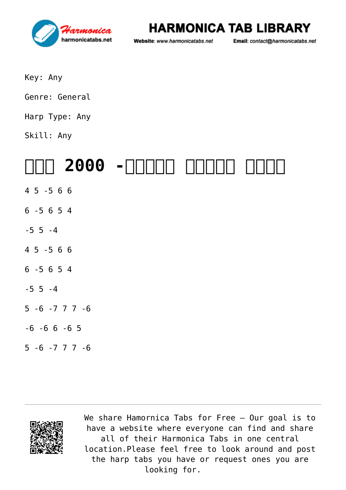

#### **HARMONICA TAB LIBRARY**

Website: www.harmonicatabs.net

Email: contact@harmonicatabs.net

- Key: Any
- Genre: General
- Harp Type: Any
- Skill: Any

# **[אהבת ישראל בנשמה- 2000 שנה](https://harmonicatabs.net/vi/tabs/%d7%90%d7%94%d7%91%d7%aa-%d7%99%d7%a9%d7%a8%d7%90%d7%9c-%d7%91%d7%a0%d7%a9%d7%9e%d7%94-2000-%d7%a9%d7%a0%d7%94-2/)**

- 4 5 -5 6 6
- 6 -5 6 5 4
- $-5$  5  $-4$
- 4 5 -5 6 6
- 6 -5 6 5 4
- $-5$  5  $-4$
- 5 -6 -7 7 7 -6
- $-6 -6 6 -6 5$
- $5 6 7$  7 7 6



We share [Hamornica Tabs](https://harmonicatabs.net/) for Free - Our goal is to have a website where everyone can find and share all of their Harmonica Tabs in one central location.Please feel free to look around and post the harp tabs you have or request ones you are looking for.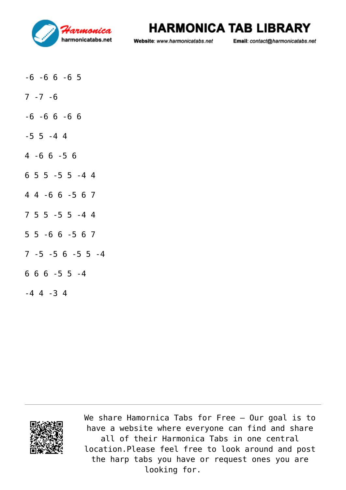

#### **HARMONICA TAB LIBRARY**

Website: www.harmonicatabs.net

Email: contact@harmonicatabs.net

- $-6$   $-6$   $6$   $-6$   $5$
- $7 7 6$
- $-6$   $-6$   $6$   $-6$   $6$
- $-5$  5  $-4$  4
- 4 -6 6 -5 6
- 6 5 5 -5 5 -4 4
- 4 4 -6 6 -5 6 7
- 7 5 5 -5 5 -4 4
- 5 5 -6 6 -5 6 7
- 7 -5 -5 6 -5 5 -4
- 6 6 6 -5 5 -4
- -4 4 -3 4



We share [Hamornica Tabs](https://harmonicatabs.net/) for Free - Our goal is to have a website where everyone can find and share all of their Harmonica Tabs in one central location.Please feel free to look around and post the harp tabs you have or request ones you are looking for.